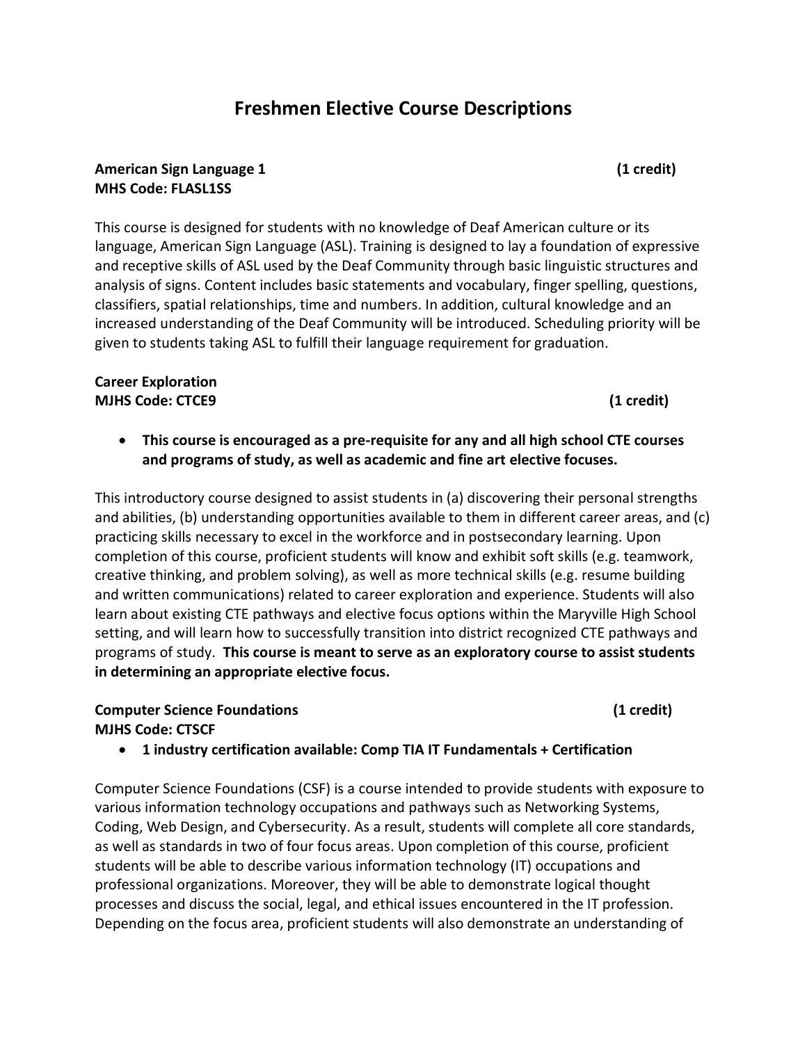# **Freshmen Elective Course Descriptions**

#### **American Sign Language 1 (1 credit) MHS Code: FLASL1SS**

This course is designed for students with no knowledge of Deaf American culture or its language, American Sign Language (ASL). Training is designed to lay a foundation of expressive and receptive skills of ASL used by the Deaf Community through basic linguistic structures and analysis of signs. Content includes basic statements and vocabulary, finger spelling, questions, classifiers, spatial relationships, time and numbers. In addition, cultural knowledge and an increased understanding of the Deaf Community will be introduced. Scheduling priority will be given to students taking ASL to fulfill their language requirement for graduation.

#### **Career Exploration MJHS Code: CTCE9 (1 credit)**

 **This course is encouraged as a pre-requisite for any and all high school CTE courses and programs of study, as well as academic and fine art elective focuses.** 

This introductory course designed to assist students in (a) discovering their personal strengths and abilities, (b) understanding opportunities available to them in different career areas, and (c) practicing skills necessary to excel in the workforce and in postsecondary learning. Upon completion of this course, proficient students will know and exhibit soft skills (e.g. teamwork, creative thinking, and problem solving), as well as more technical skills (e.g. resume building and written communications) related to career exploration and experience. Students will also learn about existing CTE pathways and elective focus options within the Maryville High School setting, and will learn how to successfully transition into district recognized CTE pathways and programs of study. **This course is meant to serve as an exploratory course to assist students in determining an appropriate elective focus.** 

#### **Computer Science Foundations (1 credit) MJHS Code: CTSCF**

**1 industry certification available: Comp TIA IT Fundamentals + Certification**

Computer Science Foundations (CSF) is a course intended to provide students with exposure to various information technology occupations and pathways such as Networking Systems, Coding, Web Design, and Cybersecurity. As a result, students will complete all core standards, as well as standards in two of four focus areas. Upon completion of this course, proficient students will be able to describe various information technology (IT) occupations and professional organizations. Moreover, they will be able to demonstrate logical thought processes and discuss the social, legal, and ethical issues encountered in the IT profession. Depending on the focus area, proficient students will also demonstrate an understanding of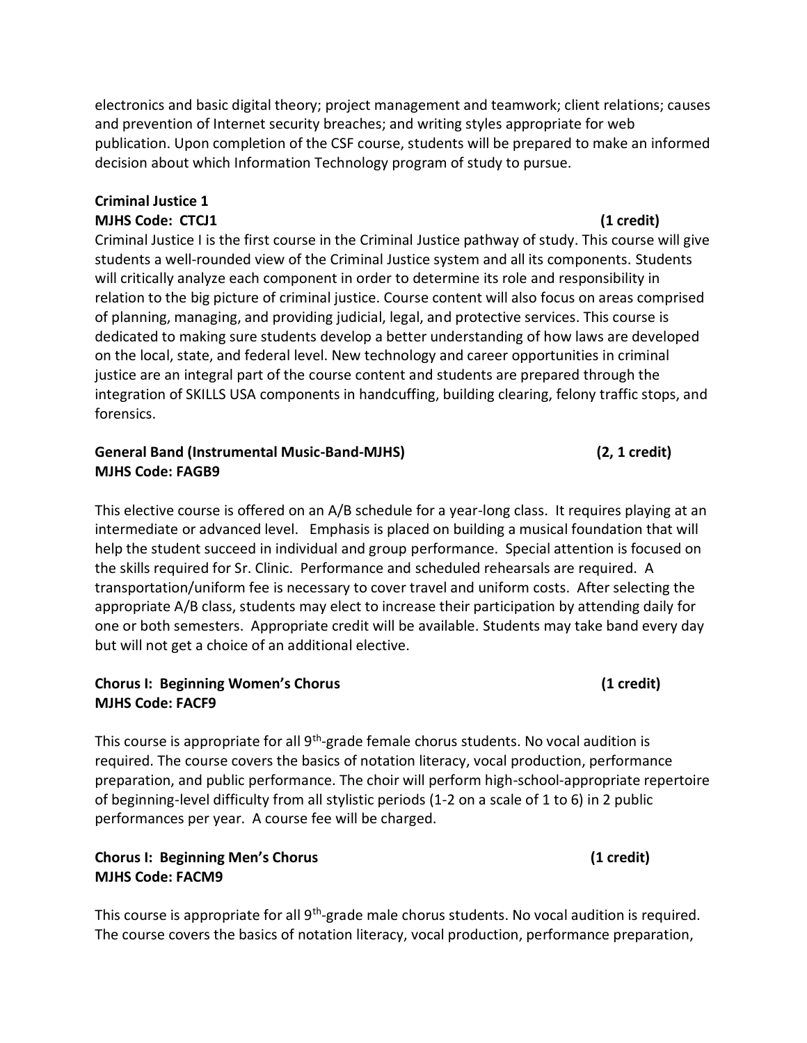electronics and basic digital theory; project management and teamwork; client relations; causes and prevention of Internet security breaches; and writing styles appropriate for web publication. Upon completion of the CSF course, students will be prepared to make an informed decision about which Information Technology program of study to pursue.

## **Criminal Justice 1 MJHS Code: CTCJ1 (1 credit)**

Criminal Justice I is the first course in the Criminal Justice pathway of study. This course will give students a well-rounded view of the Criminal Justice system and all its components. Students will critically analyze each component in order to determine its role and responsibility in relation to the big picture of criminal justice. Course content will also focus on areas comprised of planning, managing, and providing judicial, legal, and protective services. This course is dedicated to making sure students develop a better understanding of how laws are developed on the local, state, and federal level. New technology and career opportunities in criminal justice are an integral part of the course content and students are prepared through the integration of SKILLS USA components in handcuffing, building clearing, felony traffic stops, and forensics.

### **General Band (Instrumental Music-Band-MJHS) (2, 1 credit) MJHS Code: FAGB9**

This elective course is offered on an A/B schedule for a year-long class. It requires playing at an intermediate or advanced level. Emphasis is placed on building a musical foundation that will help the student succeed in individual and group performance. Special attention is focused on the skills required for Sr. Clinic. Performance and scheduled rehearsals are required. A transportation/uniform fee is necessary to cover travel and uniform costs. After selecting the appropriate A/B class, students may elect to increase their participation by attending daily for one or both semesters. Appropriate credit will be available. Students may take band every day but will not get a choice of an additional elective.

#### **Chorus I: Beginning Women's Chorus (1 credit) MJHS Code: FACF9**

This course is appropriate for all 9<sup>th</sup>-grade female chorus students. No vocal audition is required. The course covers the basics of notation literacy, vocal production, performance preparation, and public performance. The choir will perform high-school-appropriate repertoire of beginning-level difficulty from all stylistic periods (1-2 on a scale of 1 to 6) in 2 public performances per year. A course fee will be charged.

## **Chorus I: Beginning Men's Chorus (1 credit) MJHS Code: FACM9**

This course is appropriate for all 9<sup>th</sup>-grade male chorus students. No vocal audition is required. The course covers the basics of notation literacy, vocal production, performance preparation,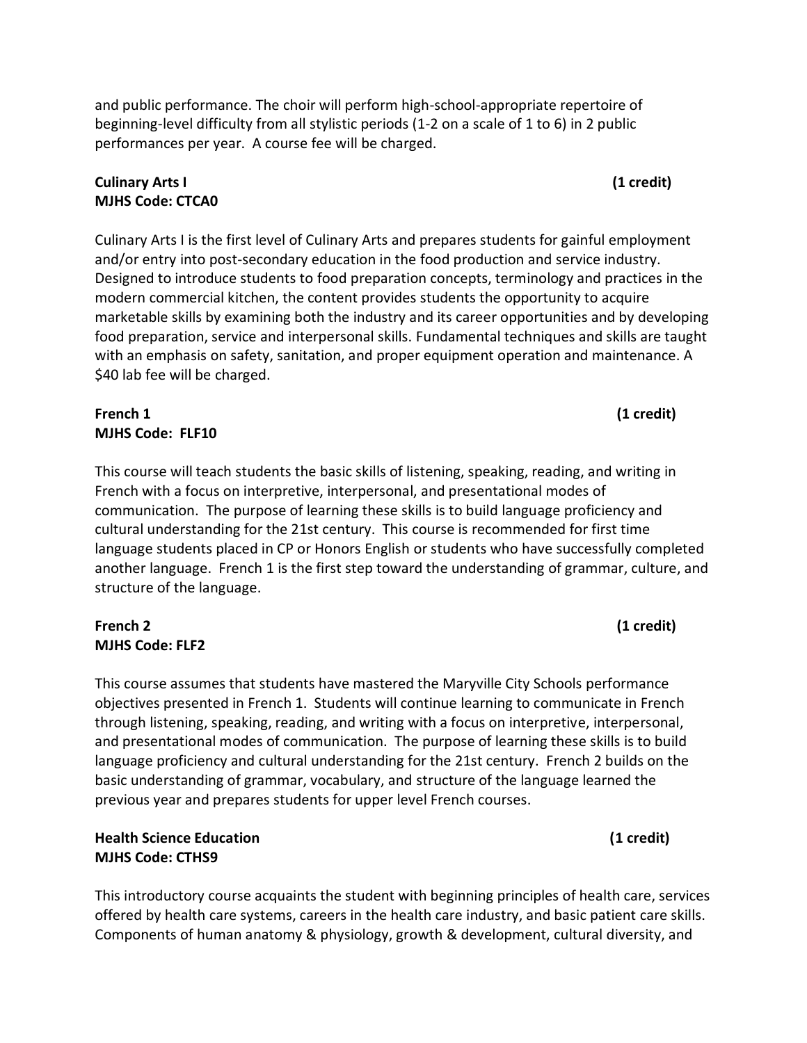and public performance. The choir will perform high-school-appropriate repertoire of beginning-level difficulty from all stylistic periods (1-2 on a scale of 1 to 6) in 2 public performances per year. A course fee will be charged.

## **Culinary Arts I (1 credit) MJHS Code: CTCA0**

Culinary Arts I is the first level of Culinary Arts and prepares students for gainful employment and/or entry into post-secondary education in the food production and service industry. Designed to introduce students to food preparation concepts, terminology and practices in the modern commercial kitchen, the content provides students the opportunity to acquire marketable skills by examining both the industry and its career opportunities and by developing food preparation, service and interpersonal skills. Fundamental techniques and skills are taught with an emphasis on safety, sanitation, and proper equipment operation and maintenance. A \$40 lab fee will be charged.

# **French 1 (1 credit) MJHS Code: FLF10**

This course will teach students the basic skills of listening, speaking, reading, and writing in French with a focus on interpretive, interpersonal, and presentational modes of communication. The purpose of learning these skills is to build language proficiency and cultural understanding for the 21st century. This course is recommended for first time language students placed in CP or Honors English or students who have successfully completed another language. French 1 is the first step toward the understanding of grammar, culture, and structure of the language.

## **French 2 (1 credit) MJHS Code: FLF2**

This course assumes that students have mastered the Maryville City Schools performance objectives presented in French 1. Students will continue learning to communicate in French through listening, speaking, reading, and writing with a focus on interpretive, interpersonal, and presentational modes of communication. The purpose of learning these skills is to build language proficiency and cultural understanding for the 21st century. French 2 builds on the basic understanding of grammar, vocabulary, and structure of the language learned the previous year and prepares students for upper level French courses.

**Health Science Education (1 credit) MJHS Code: CTHS9** 

This introductory course acquaints the student with beginning principles of health care, services offered by health care systems, careers in the health care industry, and basic patient care skills. Components of human anatomy & physiology, growth & development, cultural diversity, and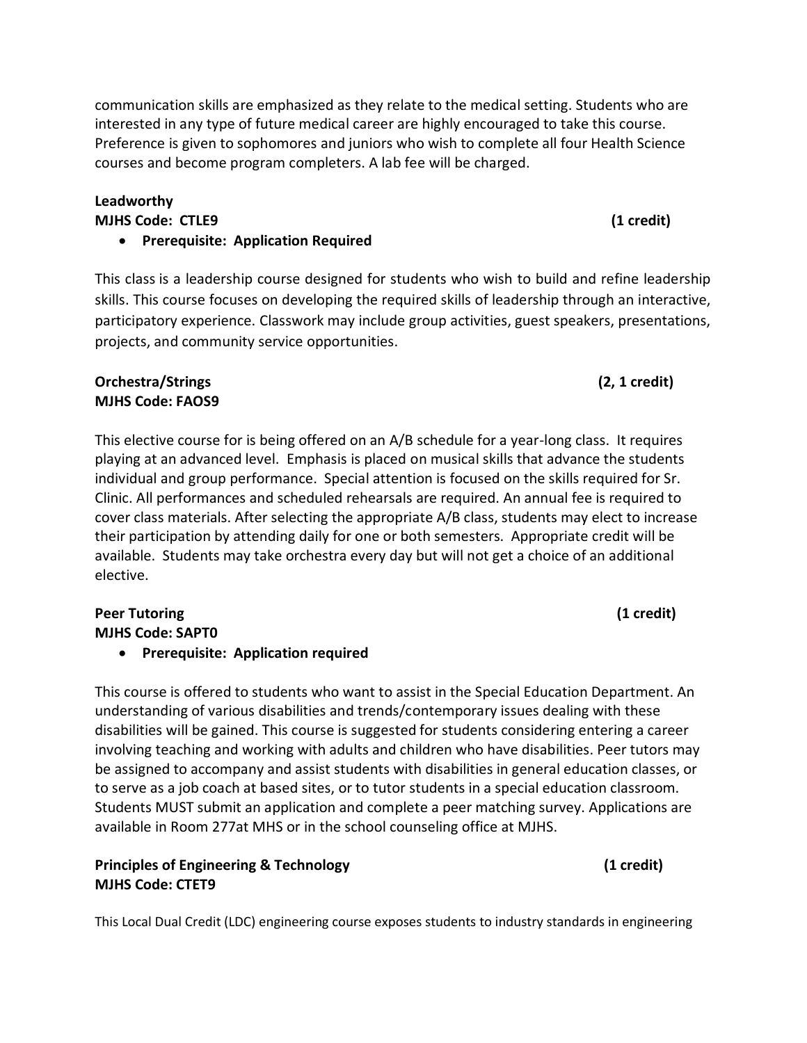communication skills are emphasized as they relate to the medical setting. Students who are interested in any type of future medical career are highly encouraged to take this course. Preference is given to sophomores and juniors who wish to complete all four Health Science courses and become program completers. A lab fee will be charged.

#### **Leadworthy MJHS Code: CTLE9 (1 credit)**

# **Prerequisite: Application Required**

This class is a leadership course designed for students who wish to build and refine leadership skills. This course focuses on developing the required skills of leadership through an interactive, participatory experience. Classwork may include group activities, guest speakers, presentations, projects, and community service opportunities.

## **Orchestra/Strings (2, 1 credit) MJHS Code: FAOS9**

This elective course for is being offered on an A/B schedule for a year-long class. It requires playing at an advanced level. Emphasis is placed on musical skills that advance the students individual and group performance. Special attention is focused on the skills required for Sr. Clinic. All performances and scheduled rehearsals are required. An annual fee is required to cover class materials. After selecting the appropriate A/B class, students may elect to increase their participation by attending daily for one or both semesters. Appropriate credit will be available. Students may take orchestra every day but will not get a choice of an additional elective.

# **Peer Tutoring (1 credit) MJHS Code: SAPT0**

# **Prerequisite: Application required**

This course is offered to students who want to assist in the Special Education Department. An understanding of various disabilities and trends/contemporary issues dealing with these disabilities will be gained. This course is suggested for students considering entering a career involving teaching and working with adults and children who have disabilities. Peer tutors may be assigned to accompany and assist students with disabilities in general education classes, or to serve as a job coach at based sites, or to tutor students in a special education classroom. Students MUST submit an application and complete a peer matching survey. Applications are available in Room 277at MHS or in the school counseling office at MJHS.

**Principles of Engineering & Technology and the entity of the Case of Case (1 credit) (1 credit) MJHS Code: CTET9** 

This Local Dual Credit (LDC) engineering course exposes students to industry standards in engineering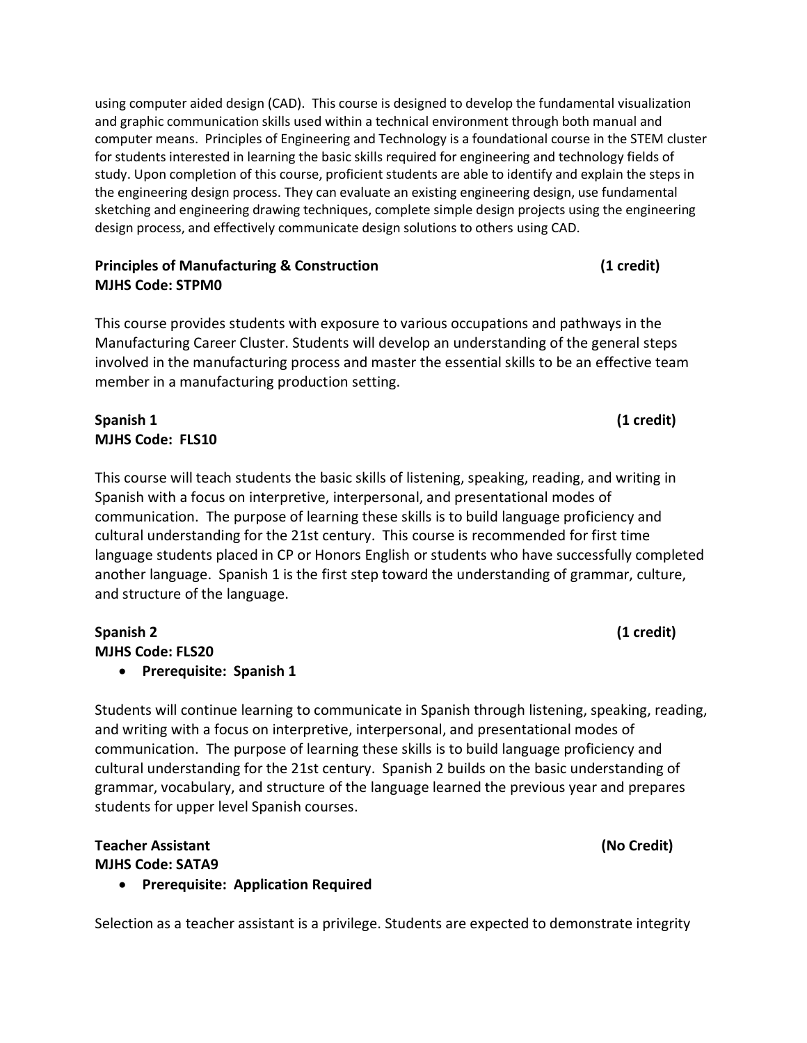using computer aided design (CAD). This course is designed to develop the fundamental visualization and graphic communication skills used within a technical environment through both manual and computer means. Principles of Engineering and Technology is a foundational course in the STEM cluster for students interested in learning the basic skills required for engineering and technology fields of study. Upon completion of this course, proficient students are able to identify and explain the steps in the engineering design process. They can evaluate an existing engineering design, use fundamental sketching and engineering drawing techniques, complete simple design projects using the engineering design process, and effectively communicate design solutions to others using CAD.

#### **Principles of Manufacturing & Construction (1 credit)** (1 credit) **MJHS Code: STPM0**

This course provides students with exposure to various occupations and pathways in the Manufacturing Career Cluster. Students will develop an understanding of the general steps involved in the manufacturing process and master the essential skills to be an effective team member in a manufacturing production setting.

## **Spanish 1 (1 credit) MJHS Code: FLS10**

This course will teach students the basic skills of listening, speaking, reading, and writing in Spanish with a focus on interpretive, interpersonal, and presentational modes of communication. The purpose of learning these skills is to build language proficiency and cultural understanding for the 21st century. This course is recommended for first time language students placed in CP or Honors English or students who have successfully completed another language. Spanish 1 is the first step toward the understanding of grammar, culture, and structure of the language.

#### **Spanish 2 (1 credit) MJHS Code: FLS20**

## **Prerequisite: Spanish 1**

Students will continue learning to communicate in Spanish through listening, speaking, reading, and writing with a focus on interpretive, interpersonal, and presentational modes of communication. The purpose of learning these skills is to build language proficiency and cultural understanding for the 21st century. Spanish 2 builds on the basic understanding of grammar, vocabulary, and structure of the language learned the previous year and prepares students for upper level Spanish courses.

## **Teacher Assistant (No Credit) MJHS Code: SATA9**

**Prerequisite: Application Required**

Selection as a teacher assistant is a privilege. Students are expected to demonstrate integrity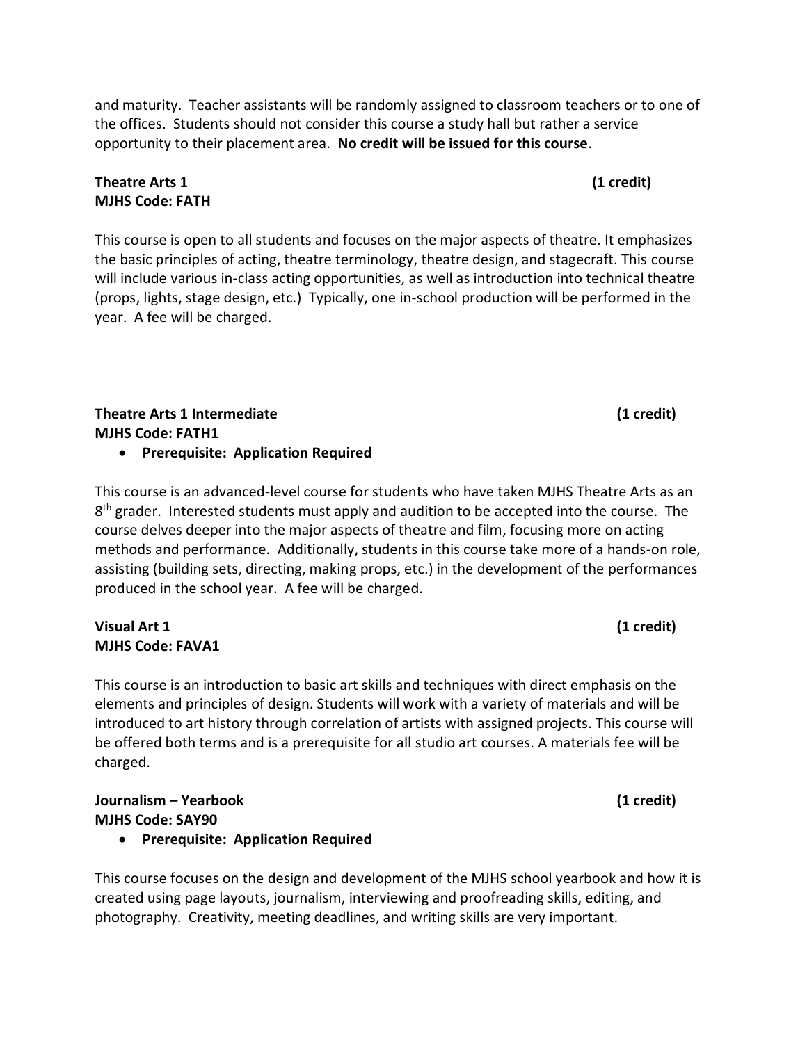and maturity. Teacher assistants will be randomly assigned to classroom teachers or to one of the offices. Students should not consider this course a study hall but rather a service opportunity to their placement area. **No credit will be issued for this course**.

## **Theatre Arts 1 (1 credit) MJHS Code: FATH**

This course is open to all students and focuses on the major aspects of theatre. It emphasizes the basic principles of acting, theatre terminology, theatre design, and stagecraft. This course will include various in-class acting opportunities, as well as introduction into technical theatre (props, lights, stage design, etc.) Typically, one in-school production will be performed in the year. A fee will be charged.

# **Theatre Arts 1 Intermediate (1 credit) MJHS Code: FATH1**

**Prerequisite: Application Required**

This course is an advanced-level course for students who have taken MJHS Theatre Arts as an 8<sup>th</sup> grader. Interested students must apply and audition to be accepted into the course. The course delves deeper into the major aspects of theatre and film, focusing more on acting methods and performance. Additionally, students in this course take more of a hands-on role, assisting (building sets, directing, making props, etc.) in the development of the performances produced in the school year. A fee will be charged.

## **Visual Art 1 (1 credit) MJHS Code: FAVA1**

This course is an introduction to basic art skills and techniques with direct emphasis on the elements and principles of design. Students will work with a variety of materials and will be introduced to art history through correlation of artists with assigned projects. This course will be offered both terms and is a prerequisite for all studio art courses. A materials fee will be charged.

# **Journalism – Yearbook (1 credit) MJHS Code: SAY90**

**Prerequisite: Application Required**

This course focuses on the design and development of the MJHS school yearbook and how it is created using page layouts, journalism, interviewing and proofreading skills, editing, and photography. Creativity, meeting deadlines, and writing skills are very important.